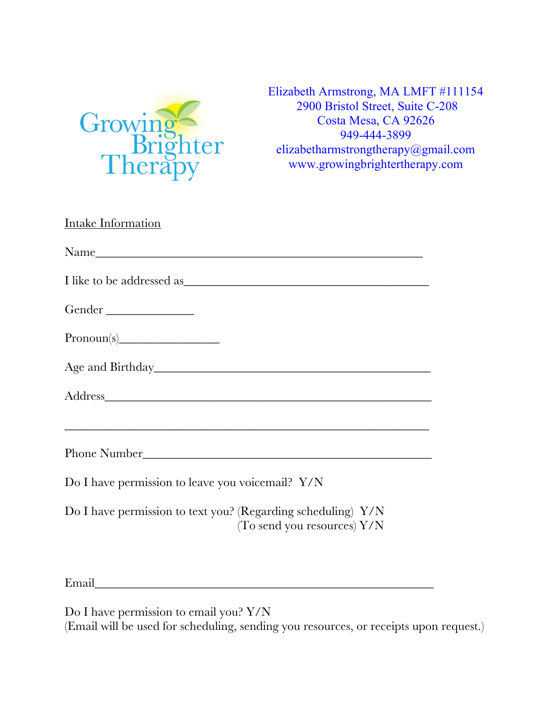

Elizabeth Armstrong, MA LMFT #111154 2900 Bristol Street, Suite C-208 Costa Mesa, CA 92626 949-444-3899 elizabetharmstrongtherapy@gmail.com www.growingbrightertherapy.com

| Intake Information                                                                                                    |
|-----------------------------------------------------------------------------------------------------------------------|
|                                                                                                                       |
|                                                                                                                       |
| Gender _________________                                                                                              |
|                                                                                                                       |
|                                                                                                                       |
|                                                                                                                       |
| <u> 1989 - Johann Stoff, deutscher Stoff, der Stoff, der Stoff, der Stoff, der Stoff, der Stoff, der Stoff, der S</u> |
|                                                                                                                       |
| Do I have permission to leave you voicemail? Y/N                                                                      |
| Do I have permission to text you? (Regarding scheduling) Y/N<br>(To send you resources) $Y/N$                         |

Email\_\_\_\_\_\_\_\_\_\_\_\_\_\_\_\_\_\_\_\_\_\_\_\_\_\_\_\_\_\_\_\_\_\_\_\_\_\_\_\_\_\_\_\_\_\_\_\_\_\_\_\_\_\_

Do I have permission to email you? Y/N (Email will be used for scheduling, sending you resources, or receipts upon request.)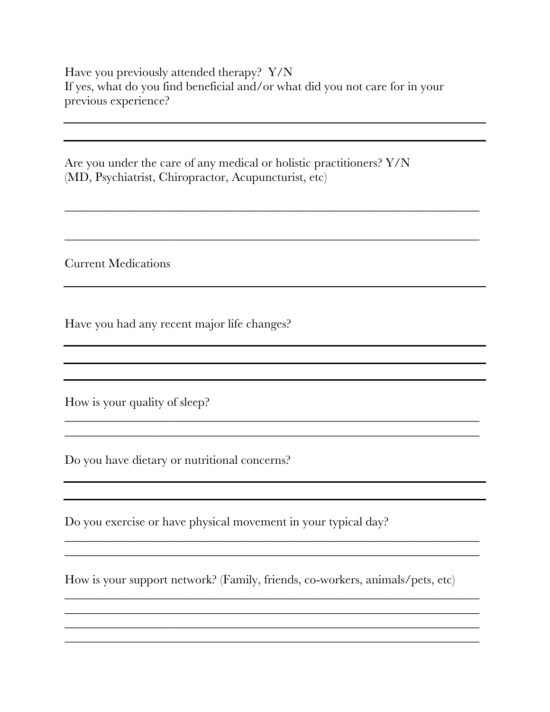Have you previously attended therapy? Y/N If yes, what do you find beneficial and/or what did you not care for in your previous experience?

\_\_\_\_\_\_\_\_\_\_\_\_\_\_\_\_\_\_\_\_\_\_\_\_\_\_\_\_\_\_\_\_\_\_\_\_\_\_\_\_\_\_\_\_\_\_\_\_\_\_\_\_\_\_\_\_\_\_\_\_\_\_\_\_\_\_

\_\_\_\_\_\_\_\_\_\_\_\_\_\_\_\_\_\_\_\_\_\_\_\_\_\_\_\_\_\_\_\_\_\_\_\_\_\_\_\_\_\_\_\_\_\_\_\_\_\_\_\_\_\_\_\_\_\_\_\_\_\_\_\_\_\_

 $\frac{1}{2}$  ,  $\frac{1}{2}$  ,  $\frac{1}{2}$  ,  $\frac{1}{2}$  ,  $\frac{1}{2}$  ,  $\frac{1}{2}$  ,  $\frac{1}{2}$  ,  $\frac{1}{2}$  ,  $\frac{1}{2}$  ,  $\frac{1}{2}$  ,  $\frac{1}{2}$  ,  $\frac{1}{2}$  ,  $\frac{1}{2}$  ,  $\frac{1}{2}$  ,  $\frac{1}{2}$  ,  $\frac{1}{2}$  ,  $\frac{1}{2}$  ,  $\frac{1}{2}$  ,  $\frac{1$  $\mathcal{L}_\mathcal{L} = \mathcal{L}_\mathcal{L} = \mathcal{L}_\mathcal{L} = \mathcal{L}_\mathcal{L} = \mathcal{L}_\mathcal{L} = \mathcal{L}_\mathcal{L} = \mathcal{L}_\mathcal{L} = \mathcal{L}_\mathcal{L} = \mathcal{L}_\mathcal{L} = \mathcal{L}_\mathcal{L} = \mathcal{L}_\mathcal{L} = \mathcal{L}_\mathcal{L} = \mathcal{L}_\mathcal{L} = \mathcal{L}_\mathcal{L} = \mathcal{L}_\mathcal{L} = \mathcal{L}_\mathcal{L} = \mathcal{L}_\mathcal{L}$ 

Are you under the care of any medical or holistic practitioners? Y/N (MD, Psychiatrist, Chiropractor, Acupuncturist, etc)

Current Medications

Have you had any recent major life changes?

How is your quality of sleep?

Do you have dietary or nutritional concerns?

Do you exercise or have physical movement in your typical day?

How is your support network? (Family, friends, co-workers, animals/pets, etc)

\_\_\_\_\_\_\_\_\_\_\_\_\_\_\_\_\_\_\_\_\_\_\_\_\_\_\_\_\_\_\_\_\_\_\_\_\_\_\_\_\_\_\_\_\_\_\_\_\_\_\_\_\_\_\_\_\_\_\_\_\_\_\_\_\_\_ \_\_\_\_\_\_\_\_\_\_\_\_\_\_\_\_\_\_\_\_\_\_\_\_\_\_\_\_\_\_\_\_\_\_\_\_\_\_\_\_\_\_\_\_\_\_\_\_\_\_\_\_\_\_\_\_\_\_\_\_\_\_\_\_\_\_

\_\_\_\_\_\_\_\_\_\_\_\_\_\_\_\_\_\_\_\_\_\_\_\_\_\_\_\_\_\_\_\_\_\_\_\_\_\_\_\_\_\_\_\_\_\_\_\_\_\_\_\_\_\_\_\_\_\_\_\_\_\_\_\_\_\_ \_\_\_\_\_\_\_\_\_\_\_\_\_\_\_\_\_\_\_\_\_\_\_\_\_\_\_\_\_\_\_\_\_\_\_\_\_\_\_\_\_\_\_\_\_\_\_\_\_\_\_\_\_\_\_\_\_\_\_\_\_\_\_\_\_\_ \_\_\_\_\_\_\_\_\_\_\_\_\_\_\_\_\_\_\_\_\_\_\_\_\_\_\_\_\_\_\_\_\_\_\_\_\_\_\_\_\_\_\_\_\_\_\_\_\_\_\_\_\_\_\_\_\_\_\_\_\_\_\_\_\_\_ \_\_\_\_\_\_\_\_\_\_\_\_\_\_\_\_\_\_\_\_\_\_\_\_\_\_\_\_\_\_\_\_\_\_\_\_\_\_\_\_\_\_\_\_\_\_\_\_\_\_\_\_\_\_\_\_\_\_\_\_\_\_\_\_\_\_